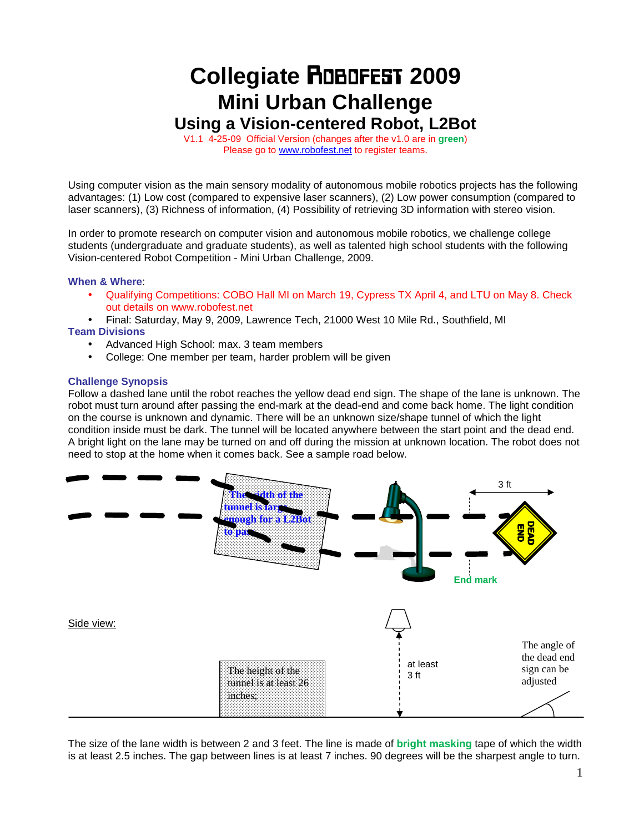# **Collegiate** Robofest **2009 Mini Urban Challenge**

**Using a Vision-centered Robot, L2Bot** 

V1.1 4-25-09 Official Version (changes after the v1.0 are in **green**) Please go to www.robofest.net to register teams.

Using computer vision as the main sensory modality of autonomous mobile robotics projects has the following advantages: (1) Low cost (compared to expensive laser scanners), (2) Low power consumption (compared to laser scanners), (3) Richness of information, (4) Possibility of retrieving 3D information with stereo vision.

In order to promote research on computer vision and autonomous mobile robotics, we challenge college students (undergraduate and graduate students), as well as talented high school students with the following Vision-centered Robot Competition - Mini Urban Challenge, 2009.

### **When & Where**:

- Qualifying Competitions: COBO Hall MI on March 19, Cypress TX April 4, and LTU on May 8. Check out details on www.robofest.net
- Final: Saturday, May 9, 2009, Lawrence Tech, 21000 West 10 Mile Rd., Southfield, MI

## **Team Divisions**

- Advanced High School: max. 3 team members
- College: One member per team, harder problem will be given

### **Challenge Synopsis**

Follow a dashed lane until the robot reaches the yellow dead end sign. The shape of the lane is unknown. The robot must turn around after passing the end-mark at the dead-end and come back home. The light condition on the course is unknown and dynamic. There will be an unknown size/shape tunnel of which the light condition inside must be dark. The tunnel will be located anywhere between the start point and the dead end. A bright light on the lane may be turned on and off during the mission at unknown location. The robot does not need to stop at the home when it comes back. See a sample road below.



The size of the lane width is between 2 and 3 feet. The line is made of **bright masking** tape of which the width is at least 2.5 inches. The gap between lines is at least 7 inches. 90 degrees will be the sharpest angle to turn.